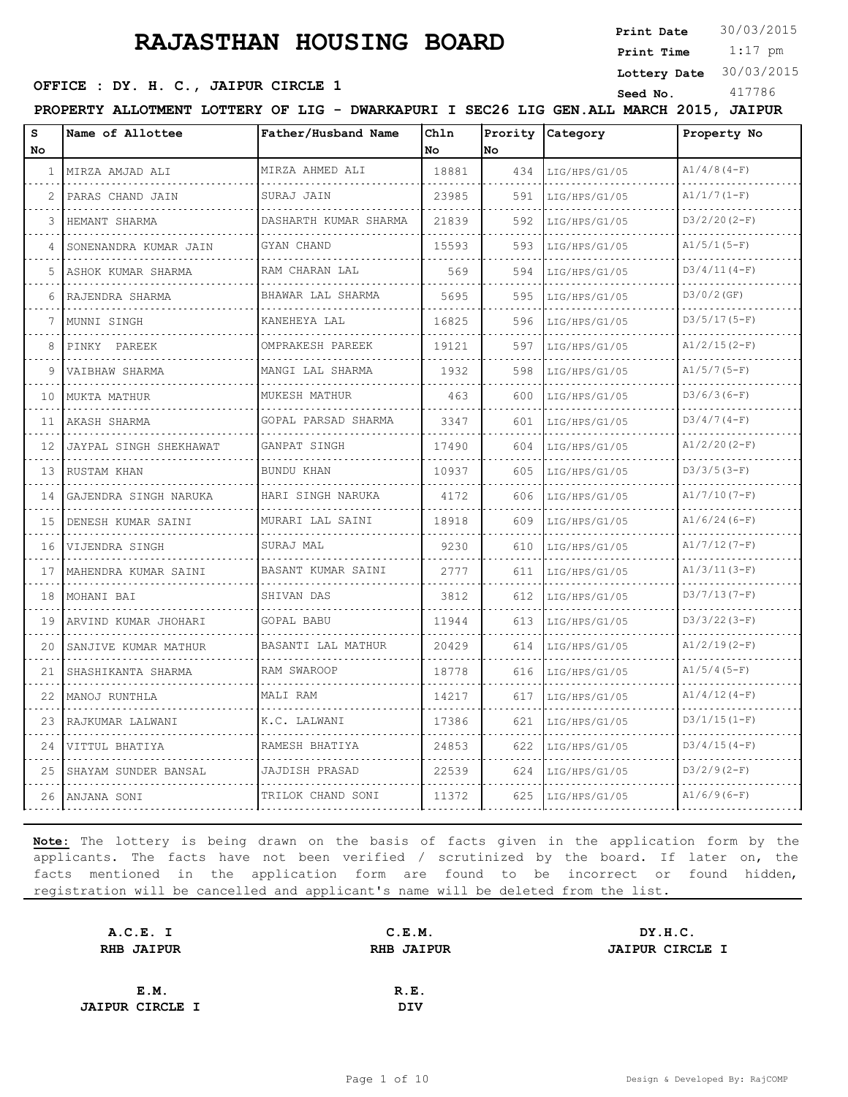**Print Date**  $30/03/2015$ 

 1:17 pm **Print Time**

#### **Lottery Date** 30/03/2015

## **SEED OFFICE : DY. H. C., JAIPUR CIRCLE 1** Seed No. 417786

**PROPERTY ALLOTMENT LOTTERY OF LIG - DWARKAPURI I SEC26 LIG GEN.ALL MARCH 2015, JAIPUR**

| s<br>No. | Name of Allottee       | Father/Husband Name                   | Chln<br>No | Prority<br>No | Category<br>Property No |                 |  |
|----------|------------------------|---------------------------------------|------------|---------------|-------------------------|-----------------|--|
| 1        | MIRZA AMJAD ALI        | MIRZA AHMED ALI                       | 18881      | 434           | LIG/HPS/G1/05           | $A1/4/8(4-F)$   |  |
| 2        | PARAS CHAND JAIN       | SURAJ JAIN                            | 23985      | 591           | LIG/HPS/G1/05           | $A1/1/7(1-F)$   |  |
| 3        | .<br>HEMANT SHARMA     | DASHARTH KUMAR SHARMA                 | 21839      | 592           | LIG/HPS/G1/05           | $D3/2/20 (2-F)$ |  |
| 4        | SONENANDRA KUMAR JAIN  | GYAN CHAND<br>.                       | 15593      | 593           | LIG/HPS/G1/05           | $A1/5/1(5-F)$   |  |
| 5        | ASHOK KUMAR SHARMA     | RAM CHARAN LAL                        | 569        | 594           | LIG/HPS/G1/05           | $D3/4/11(4-F)$  |  |
| 6        | RAJENDRA SHARMA        | BHAWAR LAL SHARMA                     | 5695       | 595           | LIG/HPS/G1/05           | $D3/0/2$ (GF)   |  |
| 7        | MUNNI SINGH            | KANEHEYA LAL<br>.                     | 16825      | 596           | LIG/HPS/G1/05           | $D3/5/17(5-F)$  |  |
| 8        | PINKY PAREEK           | OMPRAKESH PAREEK<br>د د د د د د د د د | 19121      | 597           | LIG/HPS/G1/05           | $A1/2/15(2-F)$  |  |
| 9        | VAIBHAW SHARMA         | MANGI LAL SHARMA                      | 1932       | 598           | LIG/HPS/G1/05           | $A1/5/7(5-F)$   |  |
| 10       | MUKTA MATHUR           | MUKESH MATHUR                         | 463        | 600           | LIG/HPS/G1/05           | $D3/6/3(6-F)$   |  |
| 11       | AKASH SHARMA           | .<br>GOPAL PARSAD SHARMA              | 3347       | 601           | LIG/HPS/G1/05           | $D3/4/7(4-F)$   |  |
| 12       | JAYPAL SINGH SHEKHAWAT | GANPAT SINGH                          | 17490      | 604           | LIG/HPS/G1/05           | $A1/2/20(2-F)$  |  |
| 13       | RUSTAM KHAN            | BUNDU KHAN                            | 10937      | 605           | LIG/HPS/G1/05           | $D3/3/5(3-F)$   |  |
| 14       | GAJENDRA SINGH NARUKA  | HARI SINGH NARUKA                     | 4172       | 606           | LIG/HPS/G1/05           | $A1/7/10(7-F)$  |  |
| 15       | DENESH KUMAR SAINI     | MURARI LAL SAINI                      | 18918      | 609           | LIG/HPS/G1/05           | $A1/6/24(6-F)$  |  |
| 16       | VIJENDRA SINGH         | SURAJ MAL                             | 9230       | 610           | LIG/HPS/G1/05           | $A1/7/12(7-F)$  |  |
| 17       | MAHENDRA KUMAR SAINI   | BASANT KUMAR SAINI                    | 2777       | 611           | LIG/HPS/G1/05           | $A1/3/11(3-F)$  |  |
| 18       | MOHANI BAI             | SHIVAN DAS                            | 3812       | 612           | LIG/HPS/G1/05           | $D3/7/13(7-F)$  |  |
| 19       | ARVIND KUMAR JHOHARI   | GOPAL BABU                            | 11944      | 613           | LIG/HPS/G1/05           | $D3/3/22(3-F)$  |  |
| 20       | SANJIVE KUMAR MATHUR   | BASANTI LAL MATHUR                    | 20429      | 614           | LIG/HPS/G1/05           | $A1/2/19(2-F)$  |  |
| 21       | SHASHIKANTA SHARMA     | RAM SWAROOP                           | 18778      | 616           | LIG/HPS/G1/05           | $A1/5/4(5-F)$   |  |
| 22       | MANOJ RUNTHLA          | MALI RAM                              | 14217      | 617           | LIG/HPS/G1/05           | $A1/4/12(4-F)$  |  |
| 23       | RAJKUMAR LALWANI       | K.C. LALWANI                          | 17386      | 621           | LIG/HPS/G1/05           | $D3/1/15(1-F)$  |  |
| 24       | VITTUL BHATIYA         | RAMESH BHATIYA                        | 24853      | 622           | LIG/HPS/G1/05           | $D3/4/15(4-F)$  |  |
| 25       | SHAYAM SUNDER BANSAL   | JAJDISH PRASAD                        | 22539      | 624           | LIG/HPS/G1/05           | $D3/2/9(2-F)$   |  |
| 26       | ANJANA SONI            | TRILOK CHAND SONI                     | 11372      | 625           | LIG/HPS/G1/05           | $A1/6/9(6-F)$   |  |

| A.C.E. I               | C.E.M.            | DY.H.C.                |
|------------------------|-------------------|------------------------|
| <b>RHB JAIPUR</b>      | <b>RHB JAIPUR</b> | <b>JAIPUR CIRCLE I</b> |
|                        |                   |                        |
| E.M.                   | R.E.              |                        |
| <b>JAIPUR CIRCLE I</b> | <b>DIV</b>        |                        |
|                        |                   |                        |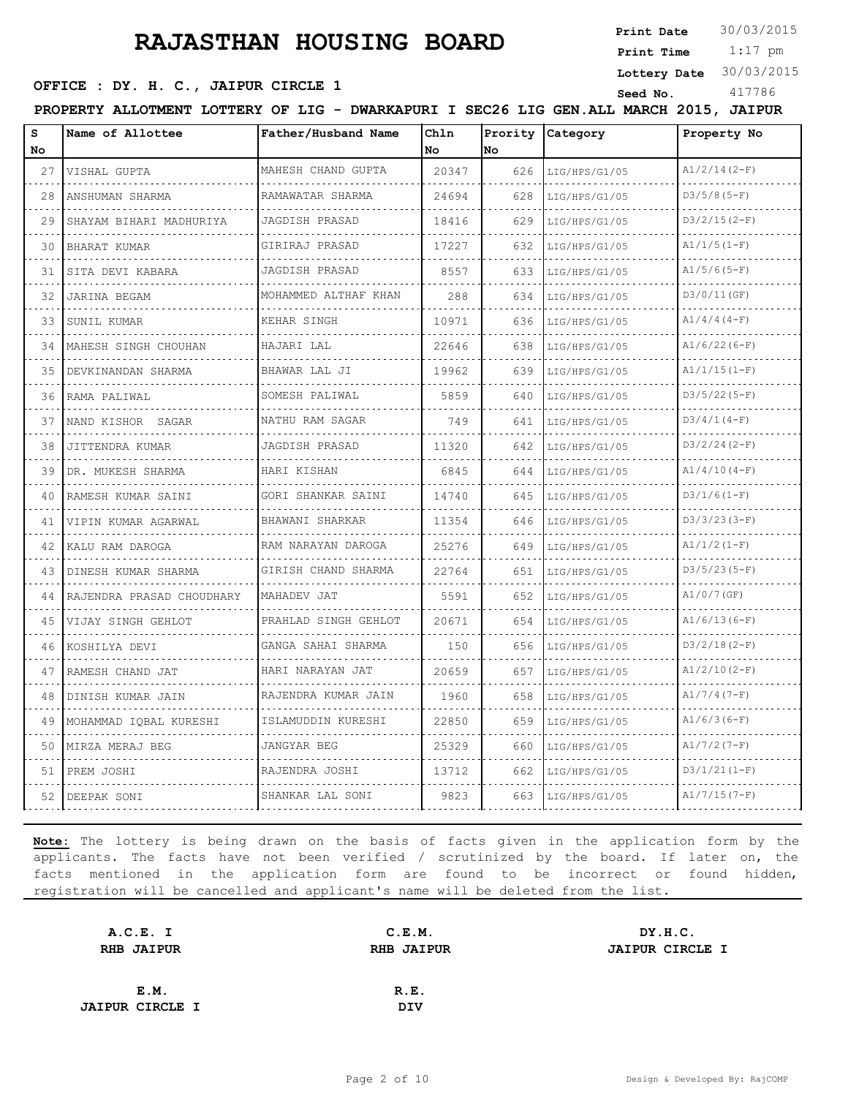**Print Date**  $30/03/2015$ 

## **SEED OFFICE : DY. H. C., JAIPUR CIRCLE 1** Seed No. 417786

 1:17 pm **Print Time**

**Lottery Date** 30/03/2015

**PROPERTY ALLOTMENT LOTTERY OF LIG - DWARKAPURI I SEC26 LIG GEN.ALL MARCH 2015, JAIPUR**

| s<br>No | Name of Allottee          | Father/Husband Name       | Chln<br>No | No  | Prority Category | Property No    |
|---------|---------------------------|---------------------------|------------|-----|------------------|----------------|
| 27      | VISHAL GUPTA              | MAHESH CHAND GUPTA        | 20347      | 626 | LIG/HPS/G1/05    | $A1/2/14(2-F)$ |
| 28      | ANSHUMAN SHARMA           | RAMAWATAR SHARMA<br>.     | 24694      | 628 | LIG/HPS/G1/05    | $D3/5/8(5-F)$  |
| 29      | SHAYAM BIHARI MADHURIYA   | JAGDISH PRASAD<br>.       | 18416      | 629 | LIG/HPS/G1/05    | $D3/2/15(2-F)$ |
| 30      | BHARAT KUMAR              | GIRIRAJ PRASAD            | 17227      | 632 | LIG/HPS/G1/05    | $A1/1/5(1-F)$  |
| 31      | SITA DEVI KABARA          | JAGDISH PRASAD            | 8557       | 633 | LIG/HPS/G1/05    | $A1/5/6(5-F)$  |
| 32      | JARINA BEGAM              | MOHAMMED ALTHAF KHAN<br>. | 288        | 634 | LIG/HPS/G1/05    | D3/0/11(GF)    |
| 33      | SUNIL KUMAR               | KEHAR SINGH               | 10971      | 636 | LIG/HPS/G1/05    | $A1/4/4(4-F)$  |
| 34      | MAHESH SINGH CHOUHAN      | HAJARI LAL                | 22646      | 638 | LIG/HPS/G1/05    | $A1/6/22(6-F)$ |
| 35      | DEVKINANDAN SHARMA        | BHAWAR LAL JI             | 19962      | 639 | LIG/HPS/G1/05    | $A1/1/15(1-F)$ |
| 36      | RAMA PALIWAL<br>.         | SOMESH PALIWAL<br>.       | 5859       | 640 | LIG/HPS/G1/05    | $D3/5/22(5-F)$ |
| 37      | NAND KISHOR SAGAR         | NATHU RAM SAGAR           | 749        | 641 | LIG/HPS/G1/05    | $D3/4/1(4-F)$  |
| 38      | JITTENDRA KUMAR           | JAGDISH PRASAD            | 11320      | 642 | LIG/HPS/G1/05    | $D3/2/24(2-F)$ |
| 39      | DR. MUKESH SHARMA<br>.    | HARI KISHAN<br>.          | 6845       | 644 | LIG/HPS/G1/05    | $A1/4/10(4-F)$ |
| 40      | RAMESH KUMAR SAINI        | GORI SHANKAR SAINI        | 14740      | 645 | LIG/HPS/G1/05    | $D3/1/6(1-F)$  |
| 41      | VIPIN KUMAR AGARWAL       | BHAWANI SHARKAR           | 11354      | 646 | LIG/HPS/G1/05    | $D3/3/23(3-F)$ |
| 42      | KALU RAM DAROGA           | RAM NARAYAN DAROGA        | 25276      | 649 | LIG/HPS/G1/05    | $A1/1/2(1-F)$  |
| 43      | DINESH KUMAR SHARMA       | GIRISH CHAND SHARMA       | 22764      | 651 | LIG/HPS/G1/05    | $D3/5/23(5-F)$ |
| 44      | RAJENDRA PRASAD CHOUDHARY | MAHADEV JAT               | 5591       | 652 | LIG/HPS/G1/05    | $A1/0/7$ (GF)  |
| 45      | VIJAY SINGH GEHLOT        | PRAHLAD SINGH GEHLOT<br>. | 20671      | 654 | LIG/HPS/G1/05    | $A1/6/13(6-F)$ |
| 46      | KOSHILYA DEVI             | GANGA SAHAI SHARMA<br>.   | 150        | 656 | LIG/HPS/G1/05    | $D3/2/18(2-F)$ |
| 47      | RAMESH CHAND JAT          | HARI NARAYAN JAT          | 20659      | 657 | LIG/HPS/G1/05    | $A1/2/10(2-F)$ |
| 48      | DINISH KUMAR JAIN         | RAJENDRA KUMAR JAIN       | 1960       | 658 | LIG/HPS/G1/05    | $A1/7/4(7-F)$  |
| 49      | MOHAMMAD IQBAL KURESHI    | ISLAMUDDIN KURESHI        | 22850      | 659 | LIG/HPS/G1/05    | $A1/6/3(6-F)$  |
| 50      | MIRZA MERAJ BEG           | JANGYAR BEG               | 25329      | 660 | LIG/HPS/G1/05    | $A1/7/2(7-F)$  |
| 51      | PREM JOSHI                | RAJENDRA JOSHI            | 13712      | 662 | LIG/HPS/G1/05    | $D3/1/21(1-F)$ |
| 52      | DEEPAK SONI               | SHANKAR LAL SONI          | 9823       | 663 | LIG/HPS/G1/05    | $A1/7/15(7-F)$ |

| A.C.E. I               | C.E.M.            | DY.H.C.                |
|------------------------|-------------------|------------------------|
| <b>RHB JAIPUR</b>      | <b>RHB JAIPUR</b> | <b>JAIPUR CIRCLE I</b> |
|                        |                   |                        |
| E.M.                   | R.E.              |                        |
| <b>JAIPUR CIRCLE I</b> | <b>DIV</b>        |                        |
|                        |                   |                        |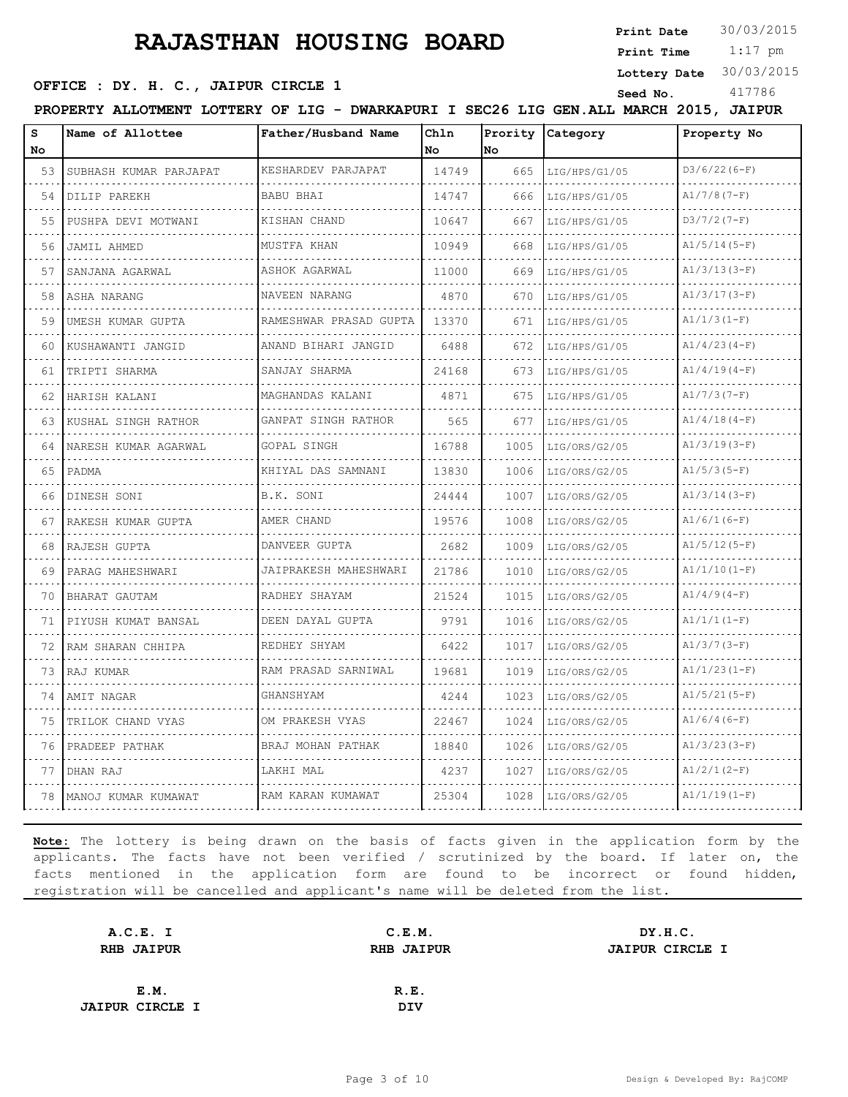**Print Date**  $30/03/2015$ 

 1:17 pm **Print Time**

**Lottery Date** 30/03/2015

|                                     |  |                                                                                        | . |          |        |  |  |
|-------------------------------------|--|----------------------------------------------------------------------------------------|---|----------|--------|--|--|
| OFFICE : DY. H. C., JAIPUR CIRCLE : |  |                                                                                        |   | Seed No. | 417786 |  |  |
|                                     |  | PROPERTY ALLOTMENT LOTTERY OF LIG - DWARKAPURI I SEC26 LIG GEN. ALL MARCH 2015, JAIPUR |   |          |        |  |  |

| s  | Name of Allottee         | Father/Husband Name      | Ch1n      | Prority | Category<br>Property No |                |  |
|----|--------------------------|--------------------------|-----------|---------|-------------------------|----------------|--|
| No |                          |                          | <b>No</b> | No.     |                         |                |  |
| 53 | SUBHASH KUMAR PARJAPAT   | KESHARDEV PARJAPAT       | 14749     | 665     | LIG/HPS/G1/05           | $D3/6/22(6-F)$ |  |
| 54 | DILIP PAREKH             | <b>BABU BHAI</b>         | 14747     | 666     | LIG/HPS/G1/05           | $A1/7/8(7-F)$  |  |
| 55 | PUSHPA DEVI MOTWANI      | KISHAN CHAND             | 10647     | 667     | LIG/HPS/G1/05           | $D3/7/2(7-F)$  |  |
| 56 | JAMIL AHMED              | MUSTFA KHAN              | 10949     | 668     | LIG/HPS/G1/05           | $A1/5/14(5-F)$ |  |
| 57 | SANJANA AGARWAL          | ASHOK AGARWAL<br>.       | 11000     | 669     | LIG/HPS/G1/05           | $A1/3/13(3-F)$ |  |
| 58 | ASHA NARANG              | NAVEEN NARANG            | 4870      | 670     | LIG/HPS/G1/05           | $A1/3/17(3-F)$ |  |
| 59 | UMESH KUMAR GUPTA        | RAMESHWAR PRASAD GUPTA   | 13370     | 671     | LIG/HPS/G1/05           | $A1/1/3(I-F)$  |  |
| 60 | KUSHAWANTI JANGID        | ANAND BIHARI JANGID<br>. | 6488      | 672     | LIG/HPS/G1/05           | $A1/4/23(4-F)$ |  |
| 61 | TRIPTI SHARMA            | SANJAY SHARMA            | 24168     | 673     | LIG/HPS/G1/05           | $A1/4/19(4-F)$ |  |
| 62 | HARISH KALANI            | MAGHANDAS KALANI         | 4871      | 675     | LIG/HPS/G1/05           | $A1/7/3(7-F)$  |  |
| 63 | KUSHAL SINGH RATHOR<br>. | GANPAT SINGH RATHOR      | 565       | 677     | LIG/HPS/G1/05           | $A1/4/18(4-F)$ |  |
| 64 | NARESH KUMAR AGARWAL     | GOPAL SINGH              | 16788     | 1005    | LIG/ORS/G2/05           | $A1/3/19(3-F)$ |  |
| 65 | PADMA                    | KHIYAL DAS SAMNANI       | 13830     | 1006    | LIG/ORS/G2/05           | $A1/5/3(5-F)$  |  |
| 66 | DINESH SONI              | B.K. SONI                | 24444     | 1007    | LIG/ORS/G2/05           | $A1/3/14(3-F)$ |  |
| 67 | RAKESH KUMAR GUPTA       | AMER CHAND               | 19576     | 1008    | LIG/ORS/G2/05           | $A1/6/1(6-F)$  |  |
| 68 | RAJESH GUPTA             | DANVEER GUPTA            | 2682      | 1009    | LIG/ORS/G2/05           | $A1/5/12(5-F)$ |  |
| 69 | PARAG MAHESHWARI         | JAIPRAKESH MAHESHWARI    | 21786     | 1010    | LIG/ORS/G2/05           | $A1/1/10(I-F)$ |  |
| 70 | BHARAT GAUTAM            | RADHEY SHAYAM            | 21524     | 1015    | LIG/ORS/G2/05           | $A1/4/9(4-F)$  |  |
| 71 | PIYUSH KUMAT BANSAL      | DEEN DAYAL GUPTA         | 9791      | 1016    | LIG/ORS/G2/05           | $A1/1/1(I-F)$  |  |
| 72 | RAM SHARAN CHHIPA        | REDHEY SHYAM             | 6422      | 1017    | LIG/ORS/G2/05           | $A1/3/7(3-F)$  |  |
| 73 | RAJ KUMAR                | RAM PRASAD SARNIWAL      | 19681     | 1019    | LIG/ORS/G2/05           | $A1/1/23(1-F)$ |  |
| 74 | AMIT NAGAR               | GHANSHYAM                | 4244      | 1023    | LIG/ORS/G2/05           | $A1/5/21(5-F)$ |  |
| 75 | TRILOK CHAND VYAS        | OM PRAKESH VYAS          | 22467     | 1024    | LIG/ORS/G2/05           | $A1/6/4(6-F)$  |  |
| 76 | PRADEEP PATHAK           | BRAJ MOHAN PATHAK        | 18840     | 1026    | LIG/ORS/G2/05           | $A1/3/23(3-F)$ |  |
| 77 | DHAN RAJ                 | LAKHI MAL                | 4237      | 1027    | LIG/ORS/G2/05           | $A1/2/1(2-F)$  |  |
| 78 | MANOJ KUMAR KUMAWAT      | RAM KARAN KUMAWAT        | 25304     | 1028    | LIG/ORS/G2/05           | $A1/1/19(1-F)$ |  |

| A.C.E. I               | C.E.M.            | DY.H.C.                |
|------------------------|-------------------|------------------------|
| <b>RHB JAIPUR</b>      | <b>RHB JAIPUR</b> | <b>JAIPUR CIRCLE I</b> |
|                        |                   |                        |
| E.M.                   | R.E.              |                        |
| <b>JAIPUR CIRCLE I</b> | <b>DIV</b>        |                        |
|                        |                   |                        |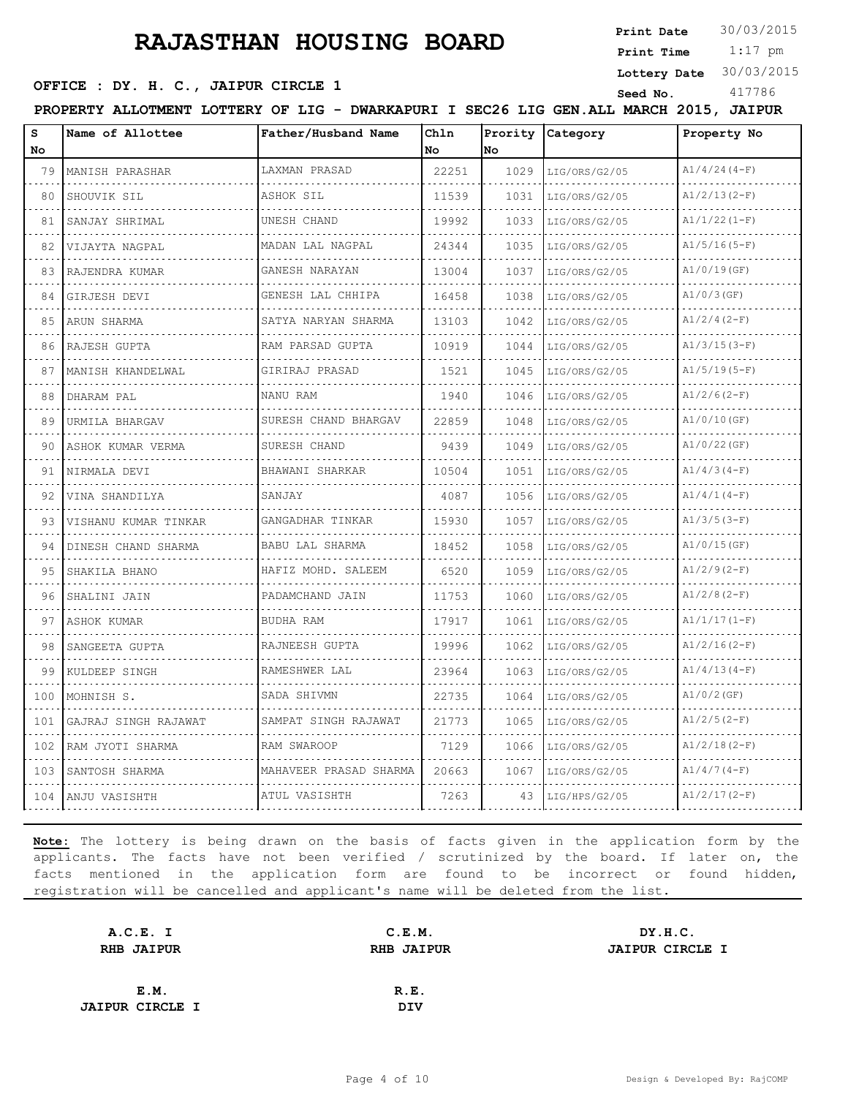**Print Date**  $30/03/2015$ 

## **SEED OFFICE : DY. H. C., JAIPUR CIRCLE 1** Seed No. 417786

 1:17 pm **Print Time**

**Lottery Date** 30/03/2015

**PROPERTY ALLOTMENT LOTTERY OF LIG - DWARKAPURI I SEC26 LIG GEN.ALL MARCH 2015, JAIPUR**

| s<br>No | Name of Allottee     | Father/Husband Name    | Chln<br>No. | No   | Prority Category | Property No    |  |
|---------|----------------------|------------------------|-------------|------|------------------|----------------|--|
| 79      | MANISH PARASHAR      | LAXMAN PRASAD          | 22251       | 1029 | LIG/ORS/G2/05    | $A1/4/24(4-F)$ |  |
| 80      | SHOUVIK SIL          | ASHOK SIL              | 11539       | 1031 | LIG/ORS/G2/05    | $A1/2/13(2-F)$ |  |
| 81      | SANJAY SHRIMAL       | UNESH CHAND            | 19992       | 1033 | LIG/ORS/G2/05    | $A1/1/22(1-F)$ |  |
| 82      | VIJAYTA NAGPAL       | MADAN LAL NAGPAL<br>.  | 24344       | 1035 | LIG/ORS/G2/05    | $A1/5/16(5-F)$ |  |
| 83      | RAJENDRA KUMAR       | GANESH NARAYAN         | 13004       | 1037 | LIG/ORS/G2/05    | $A1/0/19$ (GF) |  |
| 84      | GIRJESH DEVI         | GENESH LAL CHHIPA      | 16458       | 1038 | LIG/ORS/G2/05    | $A1/0/3$ (GF)  |  |
| 85      | ARUN SHARMA          | SATYA NARYAN SHARMA    | 13103       | 1042 | LIG/ORS/G2/05    | $A1/2/4(2-F)$  |  |
| 86      | RAJESH GUPTA         | RAM PARSAD GUPTA       | 10919       | 1044 | LIG/ORS/G2/05    | $A1/3/15(3-F)$ |  |
| 87      | MANISH KHANDELWAL    | GIRIRAJ PRASAD         | 1521        | 1045 | LIG/ORS/G2/05    | $A1/5/19(5-F)$ |  |
| 88      | DHARAM PAL<br>.      | NANU RAM               | 1940        | 1046 | LIG/ORS/G2/05    | $A1/2/6(2-F)$  |  |
| 89      | URMILA BHARGAV       | SURESH CHAND BHARGAV   | 22859       | 1048 | LIG/ORS/G2/05    | $A1/0/10$ (GF) |  |
| 90      | ASHOK KUMAR VERMA    | SURESH CHAND           | 9439        | 1049 | LIG/ORS/G2/05    | $A1/0/22$ (GF) |  |
| 91      | NIRMALA DEVI         | BHAWANI SHARKAR        | 10504       | 1051 | LIG/ORS/G2/05    | $A1/4/3(4-F)$  |  |
| 92      | VINA SHANDILYA       | SANJAY                 | 4087        | 1056 | LIG/ORS/G2/05    | $A1/4/1(4-F)$  |  |
| 93      | VISHANU KUMAR TINKAR | GANGADHAR TINKAR       | 15930       | 1057 | LIG/ORS/G2/05    | $A1/3/5(3-F)$  |  |
| 94      | DINESH CHAND SHARMA  | BABU LAL SHARMA        | 18452       | 1058 | LIG/ORS/G2/05    | $A1/0/15$ (GF) |  |
| 95      | SHAKILA BHANO        | HAFIZ MOHD. SALEEM     | 6520        | 1059 | LIG/ORS/G2/05    | $A1/2/9(2-F)$  |  |
| 96      | SHALINI JAIN         | PADAMCHAND JAIN        | 11753       | 1060 | LIG/ORS/G2/05    | $A1/2/8(2-F)$  |  |
| 97      | ASHOK KUMAR          | BUDHA RAM              | 17917       | 1061 | LIG/ORS/G2/05    | $A1/1/17(1-F)$ |  |
| 98      | SANGEETA GUPTA       | RAJNEESH GUPTA         | 19996       | 1062 | LIG/ORS/G2/05    | $A1/2/16(2-F)$ |  |
| 99      | KULDEEP SINGH        | RAMESHWER LAL          | 23964       | 1063 | LIG/ORS/G2/05    | $A1/4/13(4-F)$ |  |
| 100     | MOHNISH S.           | SADA SHIVMN            | 22735       | 1064 | LIG/ORS/G2/05    | $A1/0/2$ (GF)  |  |
| 101     | GAJRAJ SINGH RAJAWAT | SAMPAT SINGH RAJAWAT   | 21773       | 1065 | LIG/ORS/G2/05    | $A1/2/5(2-F)$  |  |
| 102     | RAM JYOTI SHARMA     | RAM SWAROOP            | 7129        | 1066 | LIG/ORS/G2/05    | $A1/2/18(2-F)$ |  |
| 103     | SANTOSH SHARMA       | MAHAVEER PRASAD SHARMA | 20663       | 1067 | LIG/ORS/G2/05    | $A1/4/7(4-F)$  |  |
| 104     | ANJU VASISHTH        | ATUL VASISHTH          | 7263        | 43   | LIG/HPS/G2/05    | $A1/2/17(2-F)$ |  |

| A.C.E. I               | C.E.M.            | DY.H.C.                |
|------------------------|-------------------|------------------------|
| <b>RHB JAIPUR</b>      | <b>RHB JAIPUR</b> | <b>JAIPUR CIRCLE I</b> |
|                        |                   |                        |
| E.M.                   | R.E.              |                        |
| <b>JAIPUR CIRCLE I</b> | <b>DIV</b>        |                        |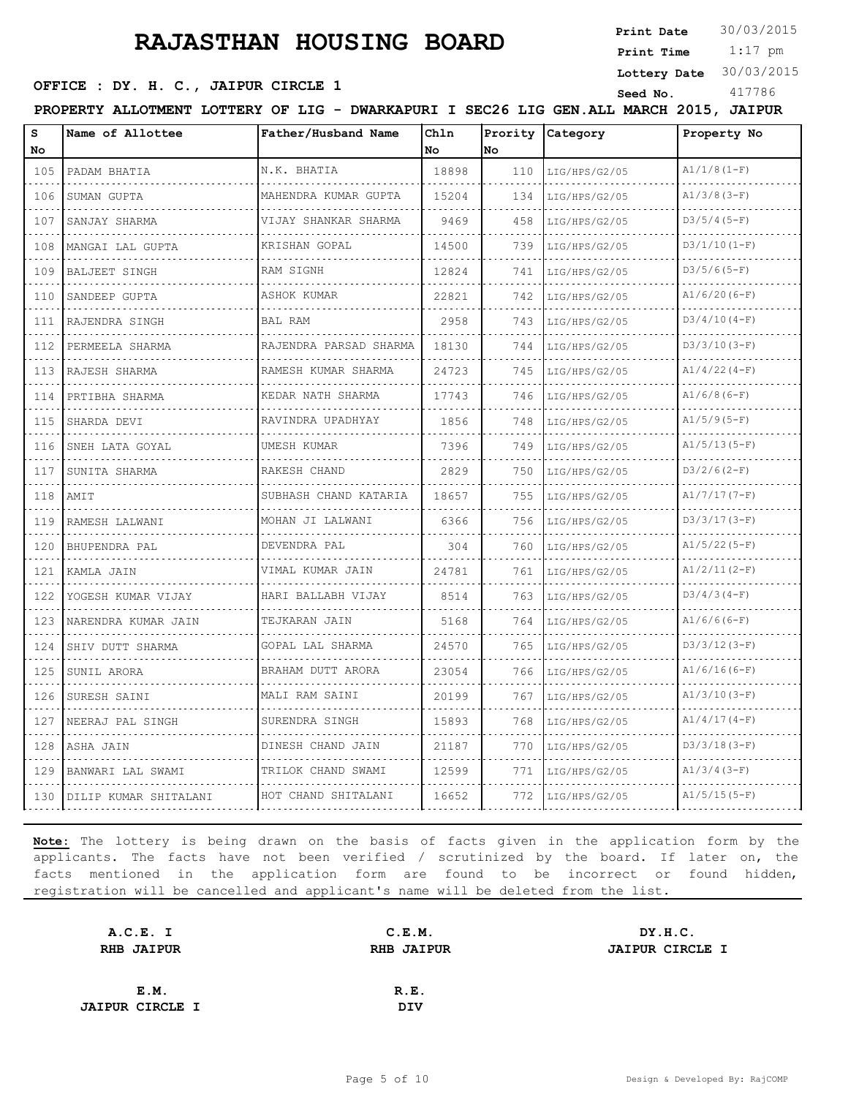**Print Date**  $30/03/2015$ 

 1:17 pm **Print Time**

**Lottery Date** 30/03/2015

## **SEED OFFICE : DY. H. C., JAIPUR CIRCLE 1** Seed No. 417786

**PROPERTY ALLOTMENT LOTTERY OF LIG - DWARKAPURI I SEC26 LIG GEN.ALL MARCH 2015, JAIPUR**

| s<br>No                     | Name of Allottee      | Father/Husband Name       | Chln<br>No | Prority<br>No. | Category           | Property No    |  |
|-----------------------------|-----------------------|---------------------------|------------|----------------|--------------------|----------------|--|
| 105                         | PADAM BHATIA          | N.K. BHATIA               | 18898      | 110            | LIG/HPS/G2/05      | $A1/1/8(1-F)$  |  |
| 106                         | .<br>SUMAN GUPTA      | MAHENDRA KUMAR GUPTA      | 15204      | 134            | .<br>LIG/HPS/G2/05 | $A1/3/8(3-F)$  |  |
| 107                         | SANJAY SHARMA         | .<br>VIJAY SHANKAR SHARMA | 9469       | 458            | LIG/HPS/G2/05      | $D3/5/4(5-F)$  |  |
| 108                         | MANGAI LAL GUPTA      | KRISHAN GOPAL             | 14500      | 739            | LIG/HPS/G2/05      | $D3/1/10(1-F)$ |  |
| 109                         | <b>BALJEET SINGH</b>  | .<br>RAM SIGNH            | 12824      | 741            | LIG/HPS/G2/05      | $D3/5/6(5-F)$  |  |
| 110                         | SANDEEP GUPTA         | ASHOK KUMAR               | 22821      | 742            | LIG/HPS/G2/05      | $A1/6/20(6-F)$ |  |
| 111                         | RAJENDRA SINGH        | BAL RAM                   | 2958       | 743            | LIG/HPS/G2/05      | $D3/4/10(4-F)$ |  |
| 112                         | PERMEELA SHARMA       | RAJENDRA PARSAD SHARMA    | 18130      | 744            | LIG/HPS/G2/05      | $D3/3/10(3-F)$ |  |
| 113                         | RAJESH SHARMA         | RAMESH KUMAR SHARMA       | 24723      | 745            | LIG/HPS/G2/05      | $A1/4/22(4-F)$ |  |
| 114                         | PRTIBHA SHARMA        | KEDAR NATH SHARMA         | 17743      | 746            | LIG/HPS/G2/05      | $A1/6/8(6-F)$  |  |
| $\sim$ $\sim$ $\sim$<br>115 | SHARDA DEVI           | .<br>RAVINDRA UPADHYAY    | 1856       | 748            | LIG/HPS/G2/05      | $A1/5/9(5-F)$  |  |
| 116                         | SNEH LATA GOYAL       | .<br>UMESH KUMAR          | 7396       | 749            | LIG/HPS/G2/05      | $A1/5/13(5-F)$ |  |
| 117                         | SUNITA SHARMA         | RAKESH CHAND              | 2829       | 750            | LIG/HPS/G2/05      | $D3/2/6(2-F)$  |  |
| 118                         | AMIT                  | SUBHASH CHAND KATARIA     | 18657      | 755            | LIG/HPS/G2/05      | $A1/7/17(7-F)$ |  |
| 119                         | RAMESH LALWANI        | MOHAN JI LALWANI          | 6366       | 756            | LIG/HPS/G2/05      | $D3/3/17(3-F)$ |  |
| 120                         | BHUPENDRA PAL         | DEVENDRA PAL<br>.         | 304        | 760            | LIG/HPS/G2/05      | $A1/5/22(5-F)$ |  |
| 121                         | KAMLA JAIN            | VIMAL KUMAR JAIN          | 24781      | 761            | LIG/HPS/G2/05      | $A1/2/11(2-F)$ |  |
| 122                         | YOGESH KUMAR VIJAY    | HARI BALLABH VIJAY        | 8514       | 763            | LIG/HPS/G2/05      | $D3/4/3(4-F)$  |  |
| 123                         | NARENDRA KUMAR JAIN   | TEJKARAN JAIN<br>.        | 5168       | 764            | LIG/HPS/G2/05      | $A1/6/6(6-F)$  |  |
| .<br>124                    | SHIV DUTT SHARMA      | GOPAL LAL SHARMA          | 24570      | 765            | LIG/HPS/G2/05      | $D3/3/12(3-F)$ |  |
| 125                         | SUNIL ARORA           | BRAHAM DUTT ARORA         | 23054      | 766            | LIG/HPS/G2/05      | $A1/6/16(6-F)$ |  |
| 126                         | SURESH SAINI          | MALI RAM SAINI            | 20199      | 767            | LIG/HPS/G2/05      | $A1/3/10(3-F)$ |  |
| 127                         | NEERAJ PAL SINGH      | SURENDRA SINGH            | 15893      | 768            | LIG/HPS/G2/05      | $A1/4/17(4-F)$ |  |
| 128                         | ASHA JAIN             | DINESH CHAND JAIN         | 21187      | 770            | LIG/HPS/G2/05      | $D3/3/18(3-F)$ |  |
| 129                         | BANWARI LAL SWAMI     | TRILOK CHAND SWAMI        | 12599      | 771            | LIG/HPS/G2/05      | $A1/3/4(3-F)$  |  |
| 130                         | DILIP KUMAR SHITALANI | HOT CHAND SHITALANI       | 16652      | 772            | LIG/HPS/G2/05      | $A1/5/15(5-F)$ |  |

| A.C.E. I               | C.E.M.            | DY.H.C.                |
|------------------------|-------------------|------------------------|
| <b>RHB JAIPUR</b>      | <b>RHB JAIPUR</b> | <b>JAIPUR CIRCLE I</b> |
|                        |                   |                        |
| E.M.                   | R.E.              |                        |
| <b>JAIPUR CIRCLE I</b> | <b>DIV</b>        |                        |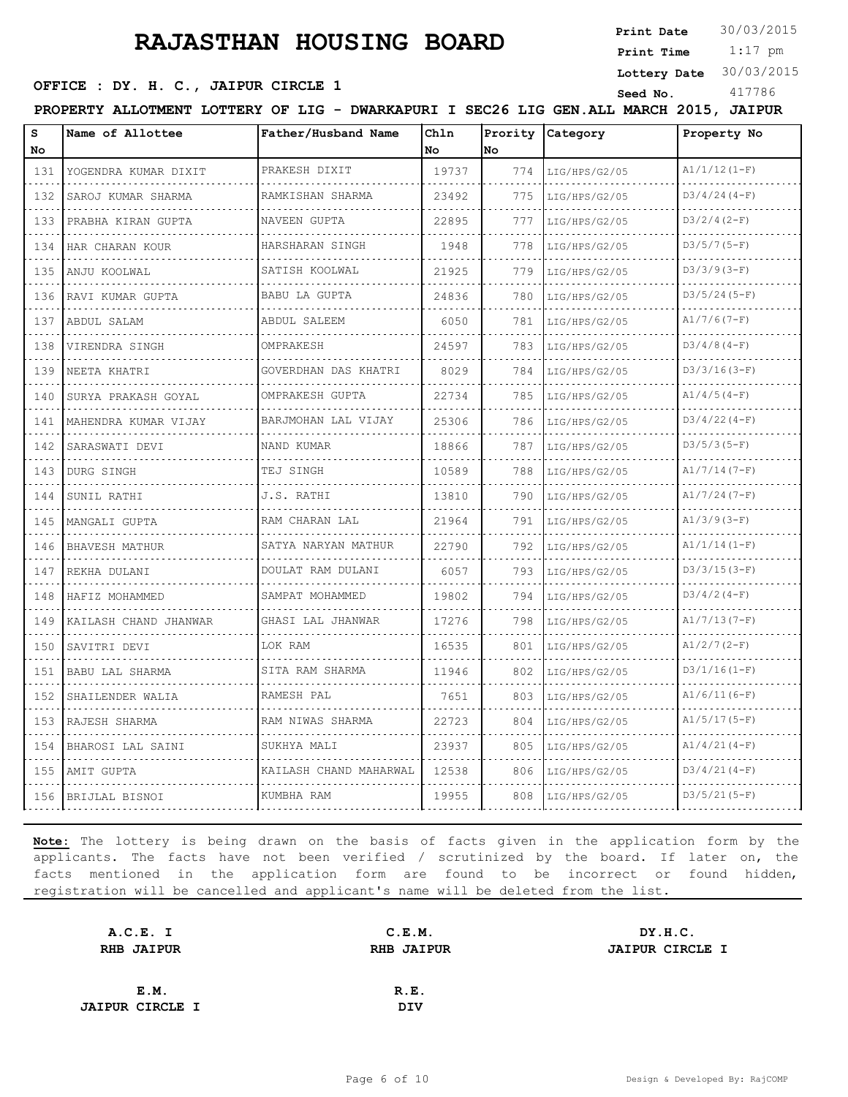**Print Date**  $30/03/2015$ 

 1:17 pm **Print Time**

**Lottery Date** 30/03/2015

#### **OFFICE : DY. H. C., JAIPUR CIRCLE 1** Seed No. 417786

|  | PROPERTY ALLOTMENT LOTTERY OF LIG - DWARKAPURI I SEC26 LIG GEN.ALL MARCH 2015, JAIPUR |  |  |                     |      |  |                  |             |  |
|--|---------------------------------------------------------------------------------------|--|--|---------------------|------|--|------------------|-------------|--|
|  | <b>IName of Allottee</b>                                                              |  |  | Father/Husband Name | Ch1n |  | Prority Category | Property No |  |

| s                           | Name of Allottee      | Father/Husband Name    | Chln  | Prority | Category      | Property No    |
|-----------------------------|-----------------------|------------------------|-------|---------|---------------|----------------|
| No                          |                       |                        | No.   | No.     |               |                |
| 131                         | YOGENDRA KUMAR DIXIT  | PRAKESH DIXIT          | 19737 | 774     | LIG/HPS/G2/05 | $A1/1/12(1-F)$ |
| 132                         | SAROJ KUMAR SHARMA    | RAMKISHAN SHARMA       | 23492 | 775     | LIG/HPS/G2/05 | $D3/4/24(4-F)$ |
| 133                         | PRABHA KIRAN GUPTA    | NAVEEN GUPTA           | 22895 | 777     | LIG/HPS/G2/05 | $D3/2/4(2-F)$  |
| 134                         | HAR CHARAN KOUR       | HARSHARAN SINGH        | 1948  | 778     | LIG/HPS/G2/05 | $D3/5/7(5-F)$  |
| 135                         | ANJU KOOLWAL          | SATISH KOOLWAL         | 21925 | 779     | LIG/HPS/G2/05 | $D3/3/9(3-F)$  |
| 136                         | RAVI KUMAR GUPTA      | BABU LA GUPTA          | 24836 | 780     | LIG/HPS/G2/05 | $D3/5/24(5-F)$ |
| 137                         | ABDUL SALAM           | ABDUL SALEEM           | 6050  | 781     | LIG/HPS/G2/05 | $A1/7/6(7-F)$  |
| 138                         | VIRENDRA SINGH<br>.   | OMPRAKESH              | 24597 | 783     | LIG/HPS/G2/05 | $D3/4/8(4-F)$  |
| 139                         | NEETA KHATRI          | GOVERDHAN DAS KHATRI   | 8029  | 784     | LIG/HPS/G2/05 | $D3/3/16(3-F)$ |
| 140                         | SURYA PRAKASH GOYAL   | OMPRAKESH GUPTA        | 22734 | 785     | LIG/HPS/G2/05 | $A1/4/5(4-F)$  |
| 141                         | MAHENDRA KUMAR VIJAY  | BARJMOHAN LAL VIJAY    | 25306 | 786     | LIG/HPS/G2/05 | $D3/4/22(4-F)$ |
| 142                         | SARASWATI DEVI        | NAND KUMAR             | 18866 | 787     | LIG/HPS/G2/05 | $D3/5/3(5-F)$  |
| 143                         | DURG SINGH<br>.       | TEJ SINGH              | 10589 | 788     | LIG/HPS/G2/05 | $A1/7/14(7-F)$ |
| 144                         | SUNIL RATHI           | J.S. RATHI             | 13810 | 790     | LIG/HPS/G2/05 | $A1/7/24(7-F)$ |
| 145                         | MANGALI GUPTA         | RAM CHARAN LAL         | 21964 | 791     | LIG/HPS/G2/05 | $A1/3/9(3-F)$  |
| 146                         | BHAVESH MATHUR        | SATYA NARYAN MATHUR    | 22790 | 792     | LIG/HPS/G2/05 | $A1/1/14(1-F)$ |
| 147                         | REKHA DULANI          | DOULAT RAM DULANI      | 6057  | 793     | LIG/HPS/G2/05 | $D3/3/15(3-F)$ |
| 148                         | HAFIZ MOHAMMED        | SAMPAT MOHAMMED        | 19802 | 794     | LIG/HPS/G2/05 | $D3/4/2(4-F)$  |
| 149                         | KAILASH CHAND JHANWAR | GHASI LAL JHANWAR      | 17276 | 798     | LIG/HPS/G2/05 | $A1/7/13(7-F)$ |
| $\sim$ $\sim$ $\sim$<br>150 | SAVITRI DEVI          | LOK RAM                | 16535 | 801     | LIG/HPS/G2/05 | $A1/2/7(2-F)$  |
| 151                         | BABU LAL SHARMA       | SITA RAM SHARMA        | 11946 | 802     | LIG/HPS/G2/05 | $D3/1/16(1-F)$ |
| 152                         | SHAILENDER WALIA      | RAMESH PAL             | 7651  | 803     | LIG/HPS/G2/05 | $A1/6/11(6-F)$ |
| 153                         | RAJESH SHARMA         | RAM NIWAS SHARMA       | 22723 | 804     | LIG/HPS/G2/05 | $A1/5/17(5-F)$ |
| 154                         | BHAROSI LAL SAINI     | SUKHYA MALI            | 23937 | 805     | LIG/HPS/G2/05 | $A1/4/21(4-F)$ |
| 155                         | AMIT GUPTA            | KAILASH CHAND MAHARWAL | 12538 | 806     | LIG/HPS/G2/05 | $D3/4/21(4-F)$ |
| 156                         | BRIJLAL BISNOI        | KUMBHA RAM             | 19955 | 808     | LIG/HPS/G2/05 | $D3/5/21(5-F)$ |

| A.C.E. I               | C.E.M.     | DY.H.C.                |
|------------------------|------------|------------------------|
| <b>RHB JAIPUR</b>      |            | <b>JAIPUR CIRCLE I</b> |
|                        |            |                        |
| E.M.                   | R.E.       |                        |
| <b>JAIPUR CIRCLE I</b> | <b>DIV</b> |                        |
|                        |            | <b>RHB JAIPUR</b>      |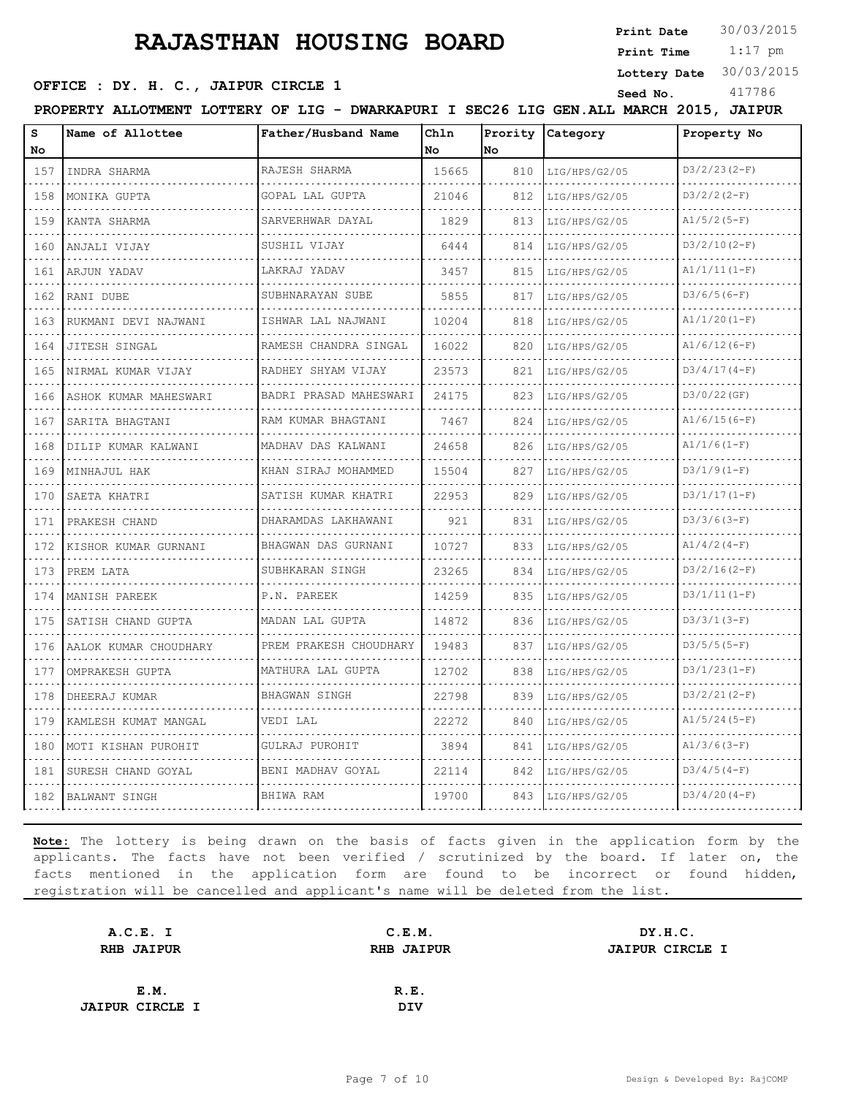**Print Date**  $30/03/2015$ 

**Lottery Date** 30/03/2015

 1:17 pm **Print Time**

#### **SEED OFFICE : DY. H. C., JAIPUR CIRCLE 1** Seed No. 417786

**PROPERTY ALLOTMENT LOTTERY OF LIG - DWARKAPURI I SEC26 LIG GEN.ALL MARCH 2015, JAIPUR**

| c    | Name of Allottee | Father/Husband<br>Name | Ch1n |     | Prority Category | Property No     |
|------|------------------|------------------------|------|-----|------------------|-----------------|
| No   |                  |                        | 1Nc  | lNo |                  |                 |
| $-7$ | TNDDA CUADMA     | IRA.TESH SHARMA        | 5665 | Q10 | TTC/UDC/CO/OE    | $1D3/2/23(2-F)$ |

| 157 | INDRA SHARMA            | RAJESH SHARMA          | 15665 | 810 | LIG/HPS/G2/05 | $D3/2/23(2-F)$ |
|-----|-------------------------|------------------------|-------|-----|---------------|----------------|
| 158 | MONIKA GUPTA            | GOPAL LAL GUPTA        | 21046 | 812 | LIG/HPS/G2/05 | $D3/2/2 (2-F)$ |
| 159 | KANTA SHARMA            | SARVERHWAR DAYAL       | 1829  | 813 | LIG/HPS/G2/05 | $A1/5/2(5-F)$  |
| 160 | ANJALI VIJAY            | SUSHIL VIJAY<br>.      | 6444  | 814 | LIG/HPS/G2/05 | $D3/2/10(2-F)$ |
| 161 | ARJUN YADAV             | LAKRAJ YADAV           | 3457  | 815 | LIG/HPS/G2/05 | $A1/1/11(1-F)$ |
| 162 | RANI DUBE               | SUBHNARAYAN SUBE       | 5855  | 817 | LIG/HPS/G2/05 | $D3/6/5(6-F)$  |
| 163 | RUKMANI DEVI NAJWANI    | ISHWAR LAL NAJWANI     | 10204 | 818 | LIG/HPS/G2/05 | $A1/1/20(I-F)$ |
| 164 | JITESH SINGAL           | RAMESH CHANDRA SINGAL  | 16022 | 820 | LIG/HPS/G2/05 | $A1/6/12(6-F)$ |
|     | 165 INIRMAL KUMAR VIJAY | RADHEY SHYAM VIJAY     | 23573 | 821 | LIG/HPS/G2/05 | $D3/4/17(4-F)$ |
| 166 | ASHOK KUMAR MAHESWARI   | BADRI PRASAD MAHESWARI | 24175 | 823 | LIG/HPS/G2/05 | D3/0/22(GF)    |
| 167 | SARITA BHAGTANI         | RAM KUMAR BHAGTANI     | 7467  | 824 | LIG/HPS/G2/05 | $A1/6/15(6-F)$ |
| 168 | DILIP KUMAR KALWANI     | MADHAV DAS KALWANI     | 24658 | 826 | LIG/HPS/G2/05 | $A1/1/6(1-F)$  |
| 169 | MINHAJUL HAK            | KHAN SIRAJ MOHAMMED    | 15504 | 827 | LIG/HPS/G2/05 | $D3/1/9(1-F)$  |
| 170 | SAETA KHATRI            | SATISH KUMAR KHATRI    | 22953 | 829 | LIG/HPS/G2/05 | $D3/1/17(1-F)$ |
| 171 | PRAKESH CHAND           | DHARAMDAS LAKHAWANI    | 921   | 831 | LIG/HPS/G2/05 | $D3/3/6(3-F)$  |
| 172 | KISHOR KUMAR GURNANI    | BHAGWAN DAS GURNANI    | 10727 | 833 | LIG/HPS/G2/05 | $A1/4/2(4-F)$  |
| 173 | PREM LATA               | SUBHKARAN SINGH        | 23265 | 834 | LIG/HPS/G2/05 | $D3/2/16(2-F)$ |
| 174 | MANISH PAREEK           | P.N. PAREEK            | 14259 | 835 | LIG/HPS/G2/05 | $D3/1/11(1-F)$ |
| 175 | SATISH CHAND GUPTA      | MADAN LAL GUPTA        | 14872 | 836 | LIG/HPS/G2/05 | $D3/3/1(3-F)$  |
| 176 | AALOK KUMAR CHOUDHARY   | PREM PRAKESH CHOUDHARY | 19483 | 837 | LIG/HPS/G2/05 | $D3/5/5(5-F)$  |
| 177 | OMPRAKESH GUPTA         | MATHURA LAL GUPTA      | 12702 | 838 | LIG/HPS/G2/05 | $D3/1/23(1-F)$ |
| 178 | DHEERAJ KUMAR           | <b>BHAGWAN SINGH</b>   | 22798 | 839 | LIG/HPS/G2/05 | $D3/2/21(2-F)$ |
| 179 | KAMLESH KUMAT MANGAL    | VEDI LAL               | 22272 | 840 | LIG/HPS/G2/05 | $A1/5/24(5-F)$ |
| 180 | MOTI KISHAN PUROHIT     | GULRAJ PUROHIT         | 3894  | 841 | LIG/HPS/G2/05 | $A1/3/6(3-F)$  |
| 181 | SURESH CHAND GOYAL      | BENI MADHAV GOYAL      | 22114 | 842 | LIG/HPS/G2/05 | $D3/4/5(4-F)$  |
|     | 182 BALWANT SINGH       | BHIWA RAM              | 19700 | 843 | LIG/HPS/G2/05 | $D3/4/20(4-F)$ |

| A.C.E. I               | C.E.M.            | DY.H.C.                |
|------------------------|-------------------|------------------------|
| <b>RHB JAIPUR</b>      | <b>RHB JAIPUR</b> | <b>JAIPUR CIRCLE I</b> |
|                        |                   |                        |
| E.M.                   | R.E.              |                        |
| <b>JAIPUR CIRCLE I</b> | <b>DIV</b>        |                        |
|                        |                   |                        |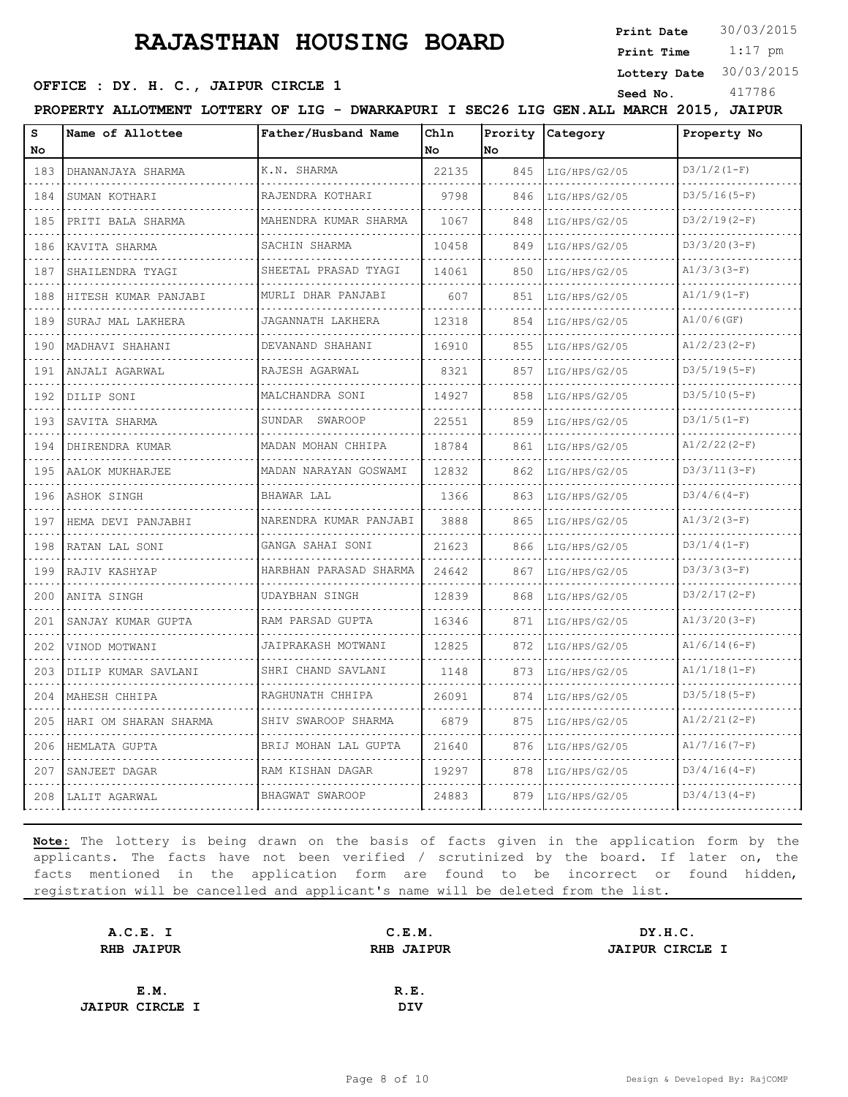**Print Date**  $30/03/2015$ 

 1:17 pm **Print Time**

**Lottery Date** 30/03/2015

## **SEED OFFICE : DY. H. C., JAIPUR CIRCLE 1** Seed No. 417786

| PROPERTY ALLOTMENT LOTTERY OF LIG - DWARKAPURI I SEC26 LIG GEN. ALL MARCH 2015, JAIPUR |                     |              |                  |             |
|----------------------------------------------------------------------------------------|---------------------|--------------|------------------|-------------|
| Name of Allottee                                                                       | Father/Husband Name | <b>IChln</b> | Prority Category | Property No |

| No  |                       |                         | No.   | lNo. |               |                |
|-----|-----------------------|-------------------------|-------|------|---------------|----------------|
| 183 | DHANANJAYA SHARMA     | K.N. SHARMA             | 22135 | 845  | LIG/HPS/G2/05 | $D3/1/2 (1-F)$ |
| 184 | SUMAN KOTHARI         | RAJENDRA KOTHARI        | 9798  | 846  | LIG/HPS/G2/05 | $D3/5/16(5-F)$ |
| 185 | PRITI BALA SHARMA     | MAHENDRA KUMAR SHARMA   | 1067  | 848  | LIG/HPS/G2/05 | $D3/2/19(2-F)$ |
| 186 | KAVITA SHARMA<br>.    | SACHIN SHARMA           | 10458 | 849  | LIG/HPS/G2/05 | $D3/3/20(3-F)$ |
| 187 | SHAILENDRA TYAGI      | SHEETAL PRASAD TYAGI    | 14061 | 850  | LIG/HPS/G2/05 | $A1/3/3(3-F)$  |
| 188 | HITESH KUMAR PANJABI  | MURLI DHAR PANJABI      | 607   | 851  | LIG/HPS/G2/05 | $A1/1/9(1-F)$  |
| 189 | SURAJ MAL LAKHERA     | JAGANNATH LAKHERA       | 12318 | 854  | LIG/HPS/G2/05 | $A1/0/6$ (GF)  |
| 190 | MADHAVI SHAHANI       | DEVANAND SHAHANI        | 16910 | 855  | LIG/HPS/G2/05 | $A1/2/23(2-F)$ |
| 191 | ANJALI AGARWAL        | RAJESH AGARWAL          | 8321  | 857  | LIG/HPS/G2/05 | $D3/5/19(5-F)$ |
| 192 | DILIP SONI            | MALCHANDRA SONI         | 14927 | 858  | LIG/HPS/G2/05 | $D3/5/10(5-F)$ |
| 193 | SAVITA SHARMA         | SUNDAR SWAROOP          | 22551 | 859  | LIG/HPS/G2/05 | $D3/1/5(1-F)$  |
| 194 | DHIRENDRA KUMAR       | MADAN MOHAN CHHIPA<br>. | 18784 | 861  | LIG/HPS/G2/05 | $A1/2/22(2-F)$ |
| 195 | AALOK MUKHARJEE       | MADAN NARAYAN GOSWAMI   | 12832 | 862  | LIG/HPS/G2/05 | $D3/3/11(3-F)$ |
|     | 196 ASHOK SINGH       | BHAWAR LAL<br>.         | 1366  | 863  | LIG/HPS/G2/05 | $D3/4/6(4-F)$  |
| 197 | HEMA DEVI PANJABHI    | NARENDRA KUMAR PANJABI  | 3888  | 865  | LIG/HPS/G2/05 | $A1/3/2 (3-F)$ |
| 198 | RATAN LAL SONI        | GANGA SAHAI SONI<br>.   | 21623 | 866  | LIG/HPS/G2/05 | $D3/1/4(1-F)$  |
| 199 | RAJIV KASHYAP         | HARBHAN PARASAD SHARMA  | 24642 | 867  | LIG/HPS/G2/05 | $D3/3/3(3-F)$  |
| 200 | ANITA SINGH           | UDAYBHAN SINGH          | 12839 | 868  | LIG/HPS/G2/05 | $D3/2/17(2-F)$ |
| 201 | SANJAY KUMAR GUPTA    | RAM PARSAD GUPTA        | 16346 | 871  | LIG/HPS/G2/05 | $A1/3/20(3-F)$ |
| 202 | VINOD MOTWANI         | JAIPRAKASH MOTWANI      | 12825 | 872  | LIG/HPS/G2/05 | $A1/6/14(6-F)$ |
| 203 | DILIP KUMAR SAVLANI   | SHRI CHAND SAVLANI      | 1148  | 873  | LIG/HPS/G2/05 | $A1/1/18(1-F)$ |
|     | 204   MAHESH CHHIPA   | RAGHUNATH CHHIPA        | 26091 | 874  | LIG/HPS/G2/05 | $D3/5/18(5-F)$ |
| 205 | HARI OM SHARAN SHARMA | SHIV SWAROOP SHARMA     | 6879  | 875  | LIG/HPS/G2/05 | $A1/2/21(2-F)$ |
| 206 | HEMLATA GUPTA         | BRIJ MOHAN LAL GUPTA    | 21640 | 876  | LIG/HPS/G2/05 | $A1/7/16(7-F)$ |
| 207 | SANJEET DAGAR         | RAM KISHAN DAGAR        | 19297 | 878  | LIG/HPS/G2/05 | $D3/4/16(4-F)$ |
|     | 208 LALIT AGARWAL     | BHAGWAT SWAROOP         | 24883 | 879  | LIG/HPS/G2/05 | $D3/4/13(4-F)$ |

| A.C.E. I               | C.E.M.            | DY.H.C.                |
|------------------------|-------------------|------------------------|
| <b>RHB JAIPUR</b>      | <b>RHB JAIPUR</b> | <b>JAIPUR CIRCLE I</b> |
|                        |                   |                        |
| E.M.                   | R.E.              |                        |
| <b>JAIPUR CIRCLE I</b> | <b>DIV</b>        |                        |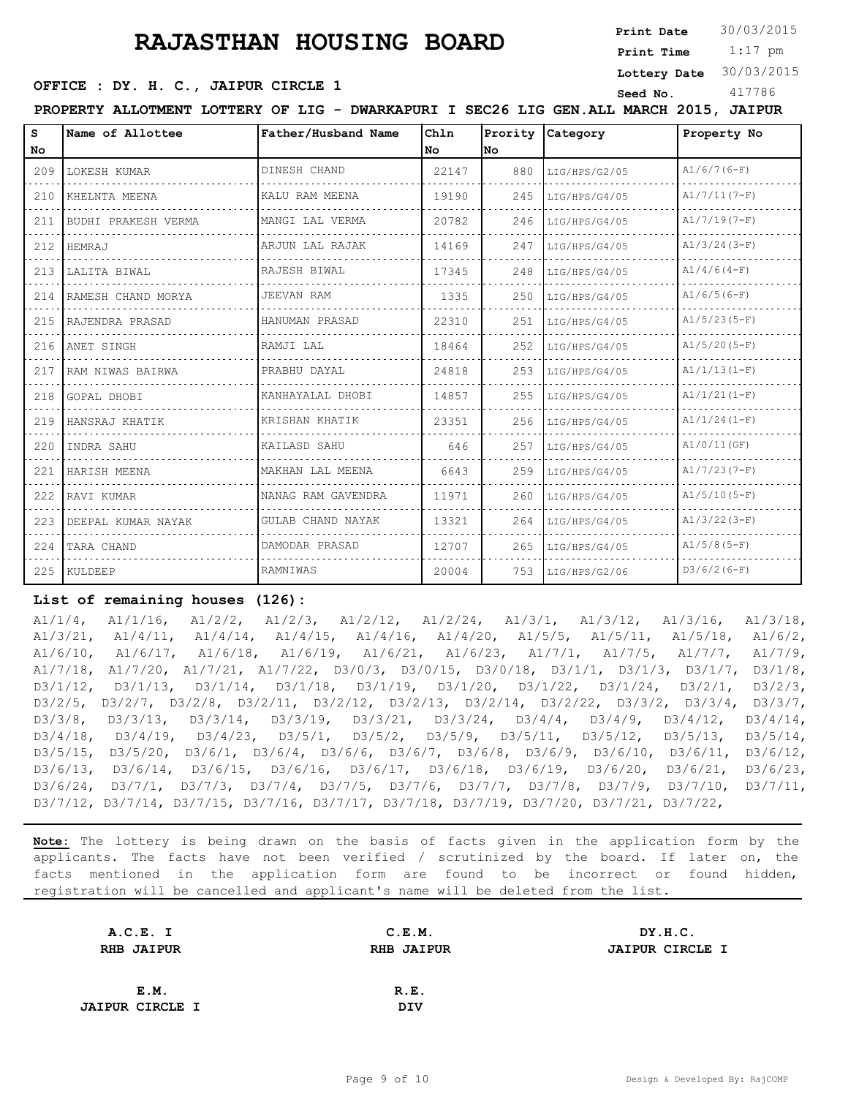# **RAJASTHAN HOUSING BOARD** <sup>Print Date</sup>

30/03/2015

 1:17 pm **Print Time**

**Lottery Date** 30/03/2015

#### **OFFICE : DY. H. C., JAIPUR CIRCLE 1** Seed No. 417786

**PROPERTY ALLOTMENT LOTTERY OF LIG - DWARKAPURI I SEC26 LIG GEN.ALL MARCH 2015, JAIPUR**

| S.    | Name of Allottee        | Father/Husband Name | Chln  | Prority | Category      | Property No    |
|-------|-------------------------|---------------------|-------|---------|---------------|----------------|
| No.   |                         |                     | l No  | lNo.    |               |                |
|       | 209 LOKESH KUMAR        | DINESH CHAND        | 22147 | 880     | LIG/HPS/G2/05 | $A1/6/7(6-F)$  |
| 210   | KHELNTA MEENA           | KALU RAM MEENA      | 19190 | 245     | LIG/HPS/G4/05 | $A1/7/11(7-F)$ |
| 211   | BUDHI PRAKESH VERMA     | MANGI LAL VERMA     | 20782 | 246     | LIG/HPS/G4/05 | $A1/7/19(7-F)$ |
| 212   | HEMRAJ                  | ARJUN LAL RAJAK     | 14169 | 247     | LIG/HPS/G4/05 | $A1/3/24(3-F)$ |
|       | 213   LALITA BIWAL      | RAJESH BIWAL        | 17345 | 248     | LIG/HPS/G4/05 | $A1/4/6(4-F)$  |
|       | 214 RAMESH CHAND MORYA  | JEEVAN RAM          | 1335  | 250     | LIG/HPS/G4/05 | $A1/6/5(6-F)$  |
|       | 215 RAJENDRA PRASAD     | HANUMAN PRASAD      | 22310 | 251     | LIG/HPS/G4/05 | $A1/5/23(5-F)$ |
|       | 216 ANET SINGH          | RAMJI LAL           | 18464 | 252     | LIG/HPS/G4/05 | $A1/5/20(5-F)$ |
| 217   | RAM NIWAS BAIRWA        | PRABHU DAYAL        | 24818 | 253     | LIG/HPS/G4/05 | $A1/1/13(1-F)$ |
|       | 218 GOPAL DHOBI         | KANHAYALAL DHOBI    | 14857 | 255     | LIG/HPS/G4/05 | $A1/1/21(I-F)$ |
|       | 219 HANSRAJ KHATIK      | KRISHAN KHATIK      | 23351 | 256     | LIG/HPS/G4/05 | $A1/1/24(1-F)$ |
| 220 l | INDRA SAHU              | KAILASD SAHU        | 646   | 257     | LIG/HPS/G4/05 | A1/0/11(GF)    |
| 221   | HARISH MEENA            | MAKHAN LAL MEENA    | 6643  | 259     | LIG/HPS/G4/05 | $A1/7/23(7-F)$ |
|       | 222 RAVI KUMAR          | NANAG RAM GAVENDRA  | 11971 | 260     | LIG/HPS/G4/05 | $A1/5/10(5-F)$ |
|       | 223 IDEEPAL KUMAR NAYAK | GULAB CHAND NAYAK   | 13321 | 264     | LIG/HPS/G4/05 | $A1/3/22(3-F)$ |
|       | 224 TARA CHAND          | DAMODAR PRASAD      | 12707 | 265     | LIG/HPS/G4/05 | $A1/5/8(5-F)$  |
|       | 225 KULDEEP             | RAMNIWAS            | 20004 | 753     | LIG/HPS/G2/06 | $D3/6/2(6-F)$  |

#### **List of remaining houses (126):**

A1/1/4, A1/1/16, A1/2/2, A1/2/3, A1/2/12, A1/2/24, A1/3/1, A1/3/12, A1/3/16, A1/3/18, A1/3/21, A1/4/11, A1/4/14, A1/4/15, A1/4/16, A1/4/20, A1/5/5, A1/5/11, A1/5/18, A1/6/2, A1/6/10, A1/6/17, A1/6/18, A1/6/19, A1/6/21, A1/6/23, A1/7/1, A1/7/5, A1/7/7, A1/7/9, A1/7/18, A1/7/20, A1/7/21, A1/7/22, D3/0/3, D3/0/15, D3/0/18, D3/1/1, D3/1/3, D3/1/7, D3/1/8, D3/1/12, D3/1/13, D3/1/14, D3/1/18, D3/1/19, D3/1/20, D3/1/22, D3/1/24, D3/2/1, D3/2/3, D3/2/5, D3/2/7, D3/2/8, D3/2/11, D3/2/12, D3/2/13, D3/2/14, D3/2/22, D3/3/2, D3/3/4, D3/3/7, D3/3/8, D3/3/13, D3/3/14, D3/3/19, D3/3/21, D3/3/24, D3/4/4, D3/4/9, D3/4/12, D3/4/14, D3/4/18, D3/4/19, D3/4/23, D3/5/1, D3/5/2, D3/5/9, D3/5/11, D3/5/12, D3/5/13, D3/5/14, D3/5/15, D3/5/20, D3/6/1, D3/6/4, D3/6/6, D3/6/7, D3/6/8, D3/6/9, D3/6/10, D3/6/11, D3/6/12, D3/6/13, D3/6/14, D3/6/15, D3/6/16, D3/6/17, D3/6/18, D3/6/19, D3/6/20, D3/6/21, D3/6/23, D3/6/24, D3/7/1, D3/7/3, D3/7/4, D3/7/5, D3/7/6, D3/7/7, D3/7/8, D3/7/9, D3/7/10, D3/7/11, D3/7/12, D3/7/14, D3/7/15, D3/7/16, D3/7/17, D3/7/18, D3/7/19, D3/7/20, D3/7/21, D3/7/22,

| A.C.E. I               | C.E.M.            | DY.H.C.                |
|------------------------|-------------------|------------------------|
| <b>RHB JAIPUR</b>      | <b>RHB JAIPUR</b> | <b>JAIPUR CIRCLE I</b> |
|                        |                   |                        |
| E.M.                   | R.E.              |                        |
| <b>JAIPUR CIRCLE I</b> | <b>DIV</b>        |                        |